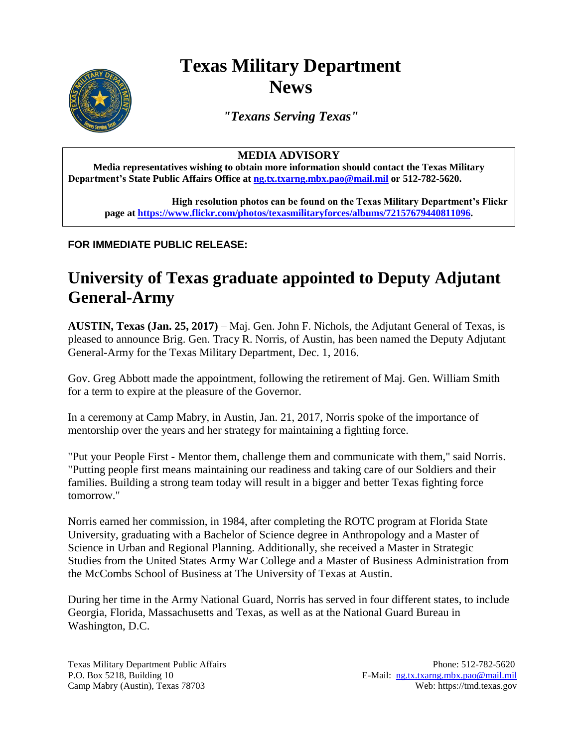## **Texas Military Department News**



*"Texans Serving Texas"*

## **MEDIA ADVISORY**

**Media representatives wishing to obtain more information should contact the Texas Military Department's State Public Affairs Office a[t ng.tx.txarng.mbx.pao@mail.mil](mailto:ng.tx.txarng.mbx.pao@mail.mil) or 512-782-5620.**

**High resolution photos can be found on the Texas Military Department's Flickr page at [https://www.flickr.com/photos/texasmilitaryforces/albums/72157679440811096.](https://www.flickr.com/photos/texasmilitaryforces/albums/72157679440811096)** 

## **FOR IMMEDIATE PUBLIC RELEASE:**

## **University of Texas graduate appointed to Deputy Adjutant General-Army**

**AUSTIN, Texas (Jan. 25, 2017)** – Maj. Gen. John F. Nichols, the Adjutant General of Texas, is pleased to announce Brig. Gen. Tracy R. Norris, of Austin, has been named the Deputy Adjutant General-Army for the Texas Military Department, Dec. 1, 2016.

Gov. Greg Abbott made the appointment, following the retirement of Maj. Gen. William Smith for a term to expire at the pleasure of the Governor.

In a ceremony at Camp Mabry, in Austin, Jan. 21, 2017, Norris spoke of the importance of mentorship over the years and her strategy for maintaining a fighting force.

"Put your People First - Mentor them, challenge them and communicate with them," said Norris. "Putting people first means maintaining our readiness and taking care of our Soldiers and their families. Building a strong team today will result in a bigger and better Texas fighting force tomorrow."

Norris earned her commission, in 1984, after completing the ROTC program at Florida State University, graduating with a Bachelor of Science degree in Anthropology and a Master of Science in Urban and Regional Planning. Additionally, she received a Master in Strategic Studies from the United States Army War College and a Master of Business Administration from the McCombs School of Business at The University of Texas at Austin.

During her time in the Army National Guard, Norris has served in four different states, to include Georgia, Florida, Massachusetts and Texas, as well as at the National Guard Bureau in Washington, D.C.

Texas Military Department Public Affairs Phone: 512-782-5620 P.O. Box 5218, Building 10 E-Mail: [ng.tx.txarng.mbx.pao@mail.mil](mailto:ng.tx.txarng.mbx.pao@mail.mil) Camp Mabry (Austin), Texas 78703 Web: https://tmd.texas.gov